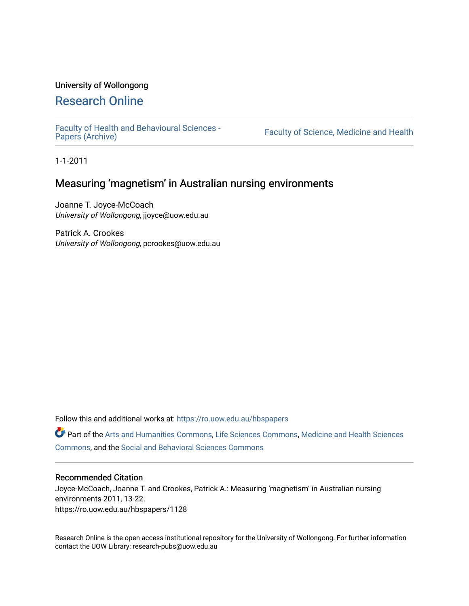# University of Wollongong

# [Research Online](https://ro.uow.edu.au/)

[Faculty of Health and Behavioural Sciences -](https://ro.uow.edu.au/hbspapers)<br>Papers (Archive)

Faculty of Science, Medicine and Health

1-1-2011

# Measuring 'magnetism' in Australian nursing environments

Joanne T. Joyce-McCoach University of Wollongong, jjoyce@uow.edu.au

Patrick A. Crookes University of Wollongong, pcrookes@uow.edu.au

Follow this and additional works at: [https://ro.uow.edu.au/hbspapers](https://ro.uow.edu.au/hbspapers?utm_source=ro.uow.edu.au%2Fhbspapers%2F1128&utm_medium=PDF&utm_campaign=PDFCoverPages) 

Part of the [Arts and Humanities Commons,](http://network.bepress.com/hgg/discipline/438?utm_source=ro.uow.edu.au%2Fhbspapers%2F1128&utm_medium=PDF&utm_campaign=PDFCoverPages) [Life Sciences Commons,](http://network.bepress.com/hgg/discipline/1016?utm_source=ro.uow.edu.au%2Fhbspapers%2F1128&utm_medium=PDF&utm_campaign=PDFCoverPages) [Medicine and Health Sciences](http://network.bepress.com/hgg/discipline/648?utm_source=ro.uow.edu.au%2Fhbspapers%2F1128&utm_medium=PDF&utm_campaign=PDFCoverPages) [Commons](http://network.bepress.com/hgg/discipline/648?utm_source=ro.uow.edu.au%2Fhbspapers%2F1128&utm_medium=PDF&utm_campaign=PDFCoverPages), and the [Social and Behavioral Sciences Commons](http://network.bepress.com/hgg/discipline/316?utm_source=ro.uow.edu.au%2Fhbspapers%2F1128&utm_medium=PDF&utm_campaign=PDFCoverPages)

# Recommended Citation

Joyce-McCoach, Joanne T. and Crookes, Patrick A.: Measuring 'magnetism' in Australian nursing environments 2011, 13-22. https://ro.uow.edu.au/hbspapers/1128

Research Online is the open access institutional repository for the University of Wollongong. For further information contact the UOW Library: research-pubs@uow.edu.au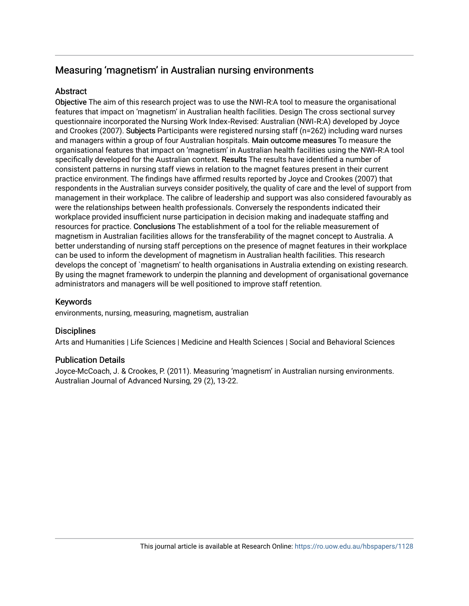# Measuring 'magnetism' in Australian nursing environments

# **Abstract**

Objective The aim of this research project was to use the NWI‑R:A tool to measure the organisational features that impact on 'magnetism' in Australian health facilities. Design The cross sectional survey questionnaire incorporated the Nursing Work Index‑Revised: Australian (NWI‑R:A) developed by Joyce and Crookes (2007). Subjects Participants were registered nursing staff (n=262) including ward nurses and managers within a group of four Australian hospitals. Main outcome measures To measure the organisational features that impact on 'magnetism' in Australian health facilities using the NWI-R:A tool specifically developed for the Australian context. Results The results have identified a number of consistent patterns in nursing staff views in relation to the magnet features present in their current practice environment. The findings have affirmed results reported by Joyce and Crookes (2007) that respondents in the Australian surveys consider positively, the quality of care and the level of support from management in their workplace. The calibre of leadership and support was also considered favourably as were the relationships between health professionals. Conversely the respondents indicated their workplace provided insufficient nurse participation in decision making and inadequate staffing and resources for practice. Conclusions The establishment of a tool for the reliable measurement of magnetism in Australian facilities allows for the transferability of the magnet concept to Australia. A better understanding of nursing staff perceptions on the presence of magnet features in their workplace can be used to inform the development of magnetism in Australian health facilities. This research develops the concept of `magnetism' to health organisations in Australia extending on existing research. By using the magnet framework to underpin the planning and development of organisational governance administrators and managers will be well positioned to improve staff retention.

# Keywords

environments, nursing, measuring, magnetism, australian

# **Disciplines**

Arts and Humanities | Life Sciences | Medicine and Health Sciences | Social and Behavioral Sciences

# Publication Details

Joyce-McCoach, J. & Crookes, P. (2011). Measuring 'magnetism' in Australian nursing environments. Australian Journal of Advanced Nursing, 29 (2), 13-22.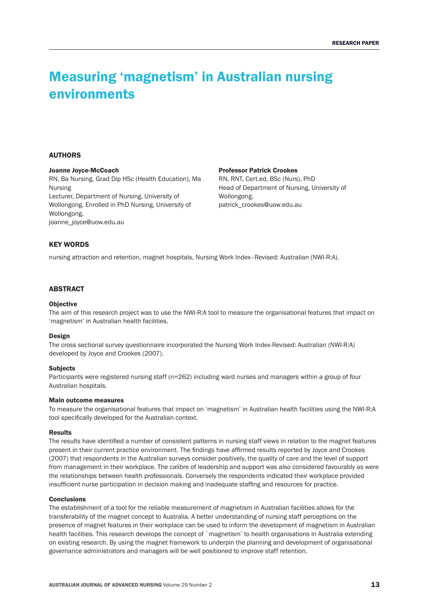# Measuring 'magnetism' in Australian nursing environments

# **AUTHORS**

# Joanne Joyce‑McCoach

RN, Ba Nursing, Grad Dip HSc (Health Education), Ma Nursing Lecturer, Department of Nursing, University of Wollongong. Enrolled in PhD Nursing, University of Wollongong. joanne\_joyce@uow.edu.au

#### Professor Patrick Crookes

RN, RNT, Cert.ed, BSc (Nurs), PhD Head of Department of Nursing, University of Wollongong. patrick\_crookes@uow.edu.au

# KEY WORDS

nursing attraction and retention, magnet hospitals, Nursing Work Index–Revised: Australian (NWI‑R:A).

# ABSTRACT

#### **Objective**

The aim of this research project was to use the NWI-R:A tool to measure the organisational features that impact on 'magnetism' in Australian health facilities.

#### Design

The cross sectional survey questionnaire incorporated the Nursing Work Index-Revised: Australian (NWI-R:A) developed by Joyce and Crookes (2007).

# **Subjects**

Participants were registered nursing staff (n=262) including ward nurses and managers within a group of four Australian hospitals.

#### Main outcome measures

To measure the organisational features that impact on 'magnetism' in Australian health facilities using the NWI-R:A tool specifically developed for the Australian context.

#### Results

The results have identified a number of consistent patterns in nursing staff views in relation to the magnet features present in their current practice environment. The findings have affirmed results reported by Joyce and Crookes (2007) that respondents in the Australian surveys consider positively, the quality of care and the level of support from management in their workplace. The calibre of leadership and support was also considered favourably as were the relationships between health professionals. Conversely the respondents indicated their workplace provided insufficient nurse participation in decision making and inadequate staffing and resources for practice.

# **Conclusions**

The establishment of a tool for the reliable measurement of magnetism in Australian facilities allows for the transferability of the magnet concept to Australia. A better understanding of nursing staff perceptions on the presence of magnet features in their workplace can be used to inform the development of magnetism in Australian health facilities. This research develops the concept of `magnetism' to health organisations in Australia extending on existing research. By using the magnet framework to underpin the planning and development of organisational governance administrators and managers will be well positioned to improve staff retention.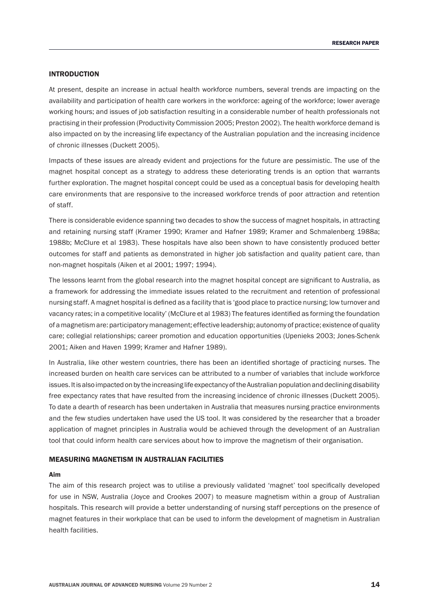# INTRODUCTION

At present, despite an increase in actual health workforce numbers, several trends are impacting on the availability and participation of health care workers in the workforce: ageing of the workforce; lower average working hours; and issues of job satisfaction resulting in a considerable number of health professionals not practising in their profession (Productivity Commission 2005; Preston 2002). The health workforce demand is also impacted on by the increasing life expectancy of the Australian population and the increasing incidence of chronic illnesses (Duckett 2005).

Impacts of these issues are already evident and projections for the future are pessimistic. The use of the magnet hospital concept as a strategy to address these deteriorating trends is an option that warrants further exploration. The magnet hospital concept could be used as a conceptual basis for developing health care environments that are responsive to the increased workforce trends of poor attraction and retention of staff.

There is considerable evidence spanning two decades to show the success of magnet hospitals, in attracting and retaining nursing staff (Kramer 1990; Kramer and Hafner 1989; Kramer and Schmalenberg 1988a; 1988b; McClure et al 1983). These hospitals have also been shown to have consistently produced better outcomes for staff and patients as demonstrated in higher job satisfaction and quality patient care, than non‑magnet hospitals (Aiken et al 2001; 1997; 1994).

The lessons learnt from the global research into the magnet hospital concept are significant to Australia, as a framework for addressing the immediate issues related to the recruitment and retention of professional nursing staff. A magnet hospital is defined as a facility that is 'good place to practice nursing; low turnover and vacancy rates; in a competitive locality' (McClure et al 1983) The features identified as forming the foundation of a magnetism are: participatory management; effective leadership; autonomy of practice; existence of quality care; collegial relationships; career promotion and education opportunities (Upenieks 2003; Jones-Schenk 2001; Aiken and Haven 1999; Kramer and Hafner 1989).

In Australia, like other western countries, there has been an identified shortage of practicing nurses. The increased burden on health care services can be attributed to a number of variables that include workforce issues. It is also impacted on by the increasing life expectancy of the Australian population and declining disability free expectancy rates that have resulted from the increasing incidence of chronic illnesses (Duckett 2005). To date a dearth of research has been undertaken in Australia that measures nursing practice environments and the few studies undertaken have used the US tool. It was considered by the researcher that a broader application of magnet principles in Australia would be achieved through the development of an Australian tool that could inform health care services about how to improve the magnetism of their organisation.

# Measuring Magnetism in Australian facilities

# Aim

The aim of this research project was to utilise a previously validated 'magnet' tool specifically developed for use in NSW, Australia (Joyce and Crookes 2007) to measure magnetism within a group of Australian hospitals. This research will provide a better understanding of nursing staff perceptions on the presence of magnet features in their workplace that can be used to inform the development of magnetism in Australian health facilities.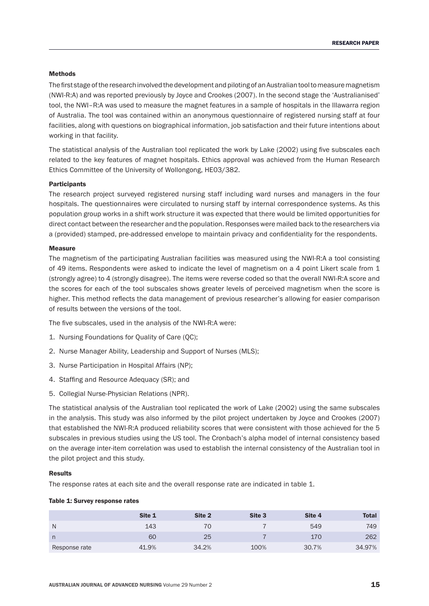# Methods

The first stage of the research involved the development and piloting of an Australian tool to measure magnetism (NWI‑R:A) and was reported previously by Joyce and Crookes (2007). In the second stage the 'Australianised' tool, the NWI–R:A was used to measure the magnet features in a sample of hospitals in the Illawarra region of Australia. The tool was contained within an anonymous questionnaire of registered nursing staff at four facilities, along with questions on biographical information, job satisfaction and their future intentions about working in that facility.

The statistical analysis of the Australian tool replicated the work by Lake (2002) using five subscales each related to the key features of magnet hospitals. Ethics approval was achieved from the Human Research Ethics Committee of the University of Wollongong, HE03/382.

# **Participants**

The research project surveyed registered nursing staff including ward nurses and managers in the four hospitals. The questionnaires were circulated to nursing staff by internal correspondence systems. As this population group works in a shift work structure it was expected that there would be limited opportunities for direct contact between the researcher and the population. Responses were mailed back to the researchers via a (provided) stamped, pre‑addressed envelope to maintain privacy and confidentiality for the respondents.

# **Measure**

The magnetism of the participating Australian facilities was measured using the NWI-R:A a tool consisting of 49 items. Respondents were asked to indicate the level of magnetism on a 4 point Likert scale from 1 (strongly agree) to 4 (strongly disagree). The items were reverse coded so that the overall NWI‑R:A score and the scores for each of the tool subscales shows greater levels of perceived magnetism when the score is higher. This method reflects the data management of previous researcher's allowing for easier comparison of results between the versions of the tool.

The five subscales, used in the analysis of the NWI-R:A were:

- 1. Nursing Foundations for Quality of Care (QC);
- 2. Nurse Manager Ability, Leadership and Support of Nurses (MLS);
- 3. Nurse Participation in Hospital Affairs (NP);
- 4. Staffing and Resource Adequacy (SR); and
- 5. Collegial Nurse‑Physician Relations (NPR).

The statistical analysis of the Australian tool replicated the work of Lake (2002) using the same subscales in the analysis. This study was also informed by the pilot project undertaken by Joyce and Crookes (2007) that established the NWI-R:A produced reliability scores that were consistent with those achieved for the 5 subscales in previous studies using the US tool. The Cronbach's alpha model of internal consistency based on the average inter‑item correlation was used to establish the internal consistency of the Australian tool in the pilot project and this study.

# Results

The response rates at each site and the overall response rate are indicated in table 1.

### Table 1: Survey response rates

|               | Site 1 | Site 2 | Site 3 | Site 4 | Total  |
|---------------|--------|--------|--------|--------|--------|
| N             | 143    | 70     |        | 549    | 749    |
| n             | 60     | 25     |        | 170    | 262    |
| Response rate | 41.9%  | 34.2%  | 100%   | 30.7%  | 34.97% |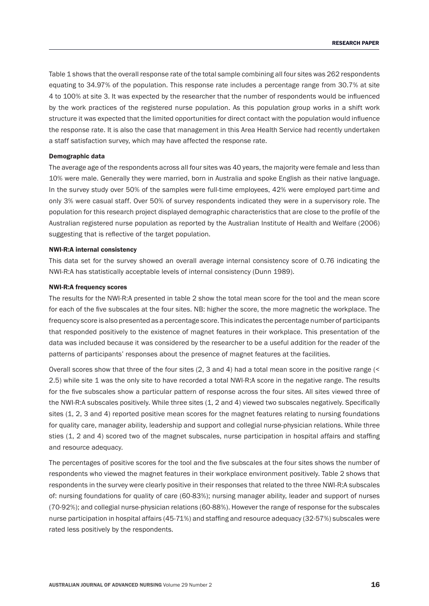Table 1 shows that the overall response rate of the total sample combining all four sites was 262 respondents equating to 34.97% of the population. This response rate includes a percentage range from 30.7% at site 4 to 100% at site 3. It was expected by the researcher that the number of respondents would be influenced by the work practices of the registered nurse population. As this population group works in a shift work structure it was expected that the limited opportunities for direct contact with the population would influence the response rate. It is also the case that management in this Area Health Service had recently undertaken a staff satisfaction survey, which may have affected the response rate.

# Demographic data

The average age of the respondents across all four sites was 40 years, the majority were female and less than 10% were male. Generally they were married, born in Australia and spoke English as their native language. In the survey study over 50% of the samples were full-time employees, 42% were employed part-time and only 3% were casual staff. Over 50% of survey respondents indicated they were in a supervisory role. The population for this research project displayed demographic characteristics that are close to the profile of the Australian registered nurse population as reported by the Australian Institute of Health and Welfare (2006) suggesting that is reflective of the target population.

# NWI‑R:A internal consistency

This data set for the survey showed an overall average internal consistency score of 0.76 indicating the NWI‑R:A has statistically acceptable levels of internal consistency (Dunn 1989).

## NWI‑R:A frequency scores

The results for the NWI‑R:A presented in table 2 show the total mean score for the tool and the mean score for each of the five subscales at the four sites. NB: higher the score, the more magnetic the workplace. The frequency score is also presented as a percentage score. This indicates the percentage number of participants that responded positively to the existence of magnet features in their workplace. This presentation of the data was included because it was considered by the researcher to be a useful addition for the reader of the patterns of participants' responses about the presence of magnet features at the facilities.

Overall scores show that three of the four sites (2, 3 and 4) had a total mean score in the positive range (< 2.5) while site 1 was the only site to have recorded a total NWI‑R:A score in the negative range. The results for the five subscales show a particular pattern of response across the four sites. All sites viewed three of the NWI-R:A subscales positively. While three sites (1, 2 and 4) viewed two subscales negatively. Specifically sites (1, 2, 3 and 4) reported positive mean scores for the magnet features relating to nursing foundations for quality care, manager ability, leadership and support and collegial nurse-physician relations. While three sties (1, 2 and 4) scored two of the magnet subscales, nurse participation in hospital affairs and staffing and resource adequacy.

The percentages of positive scores for the tool and the five subscales at the four sites shows the number of respondents who viewed the magnet features in their workplace environment positively. Table 2 shows that respondents in the survey were clearly positive in their responses that related to the three NWI‑R:A subscales of: nursing foundations for quality of care (60‑83%); nursing manager ability, leader and support of nurses (70-92%); and collegial nurse-physician relations (60-88%). However the range of response for the subscales nurse participation in hospital affairs (45‑71%) and staffing and resource adequacy (32‑57%) subscales were rated less positively by the respondents.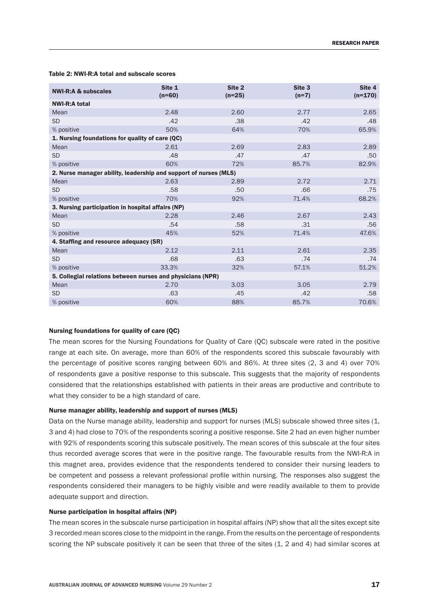#### $NWI-R:A & \text{subscales}$  Site 1 (n=60) Site 2 (n=25) Site 3 (n=7) Site 4  $(n=170)$ NWI‑R:A total Mean 2.48 2.60 2.77 2.65 SD .42 .38 .42 .48 % positive 65.9%  $50\%$  64%  $70\%$  65.9%  $65.9\%$ 1. Nursing foundations for quality of care (QC) Mean 2.61 2.69 2.83 2.89 SD .48 .47 .50 % positive 60% 85.7% 82.9% 85.7% 82.9% 85.7% 82.9% 85.7% 85.7% 85.7% 85.9% 85.7% 85.7% 85.9% 85.9% 85.9% 85.9% 85.9% 85.9% 85.9% 85.9% 85.9% 85.9% 85.9% 85.9% 85.9% 85.9% 85.9% 85.9% 85.9% 85.9% 85.9% 85.9% 85.9% 85.9% 85 2. Nurse manager ability, leadership and support of nurses (MLS) Mean 2.63 2.89 2.72 2.71 SD .75 .58 .50 .50 .56 .75 .50 .75 % positive  $\sim$  68.2%  $\sim$  71.4% 68.2% 3. Nursing participation in hospital affairs (NP) Mean 2.28 2.46 2.67 2.43 SD .54 .58 .31 .56 % positive 47.6%  $45\%$  52%  $52\%$  71.4%  $47.6\%$ 4. Staffing and resource adequacy (SR) Mean 2.35 2.35 2.22 2.11 2.61 2.35 SD .68 .63 .63 .74 .74 % positive 33.3%  $32\%$  32% 57.1% 51.2% 5. Collegial relations between nurses and physicians (NPR) Mean 2.70 3.03 3.05 2.79 SD .63 .63 .42 .63 .63 .42 .58 % positive 60% 88% 85.7% 70.6%

#### Table 2: NWI‑R:A total and subscale scores

# Nursing foundations for quality of care (QC)

The mean scores for the Nursing Foundations for Quality of Care (QC) subscale were rated in the positive range at each site. On average, more than 60% of the respondents scored this subscale favourably with the percentage of positive scores ranging between 60% and 86%. At three sites (2, 3 and 4) over 70% of respondents gave a positive response to this subscale. This suggests that the majority of respondents considered that the relationships established with patients in their areas are productive and contribute to what they consider to be a high standard of care.

#### Nurse manager ability, leadership and support of nurses (MLS)

Data on the Nurse manage ability, leadership and support for nurses (MLS) subscale showed three sites (1, 3 and 4) had close to 70% of the respondents scoring a positive response. Site 2 had an even higher number with 92% of respondents scoring this subscale positively. The mean scores of this subscale at the four sites thus recorded average scores that were in the positive range. The favourable results from the NWI-R:A in this magnet area, provides evidence that the respondents tendered to consider their nursing leaders to be competent and possess a relevant professional profile within nursing. The responses also suggest the respondents considered their managers to be highly visible and were readily available to them to provide adequate support and direction.

# Nurse participation in hospital affairs (NP)

The mean scores in the subscale nurse participation in hospital affairs (NP) show that all the sites except site 3 recorded mean scores close to the midpoint in the range. From the results on the percentage of respondents scoring the NP subscale positively it can be seen that three of the sites (1, 2 and 4) had similar scores at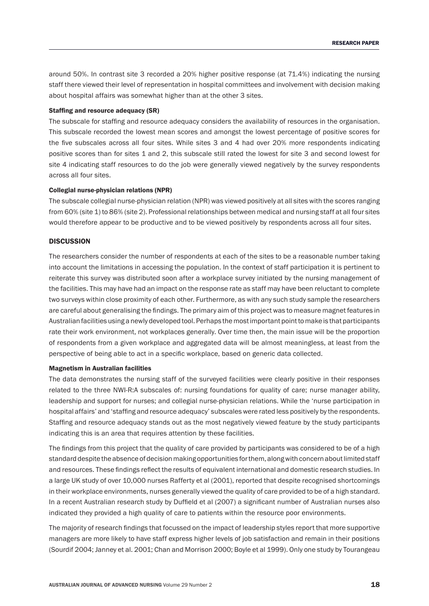around 50%. In contrast site 3 recorded a 20% higher positive response (at 71.4%) indicating the nursing staff there viewed their level of representation in hospital committees and involvement with decision making about hospital affairs was somewhat higher than at the other 3 sites.

# Staffing and resource adequacy (SR)

The subscale for staffing and resource adequacy considers the availability of resources in the organisation. This subscale recorded the lowest mean scores and amongst the lowest percentage of positive scores for the five subscales across all four sites. While sites 3 and 4 had over 20% more respondents indicating positive scores than for sites 1 and 2, this subscale still rated the lowest for site 3 and second lowest for site 4 indicating staff resources to do the job were generally viewed negatively by the survey respondents across all four sites.

# Collegial nurse‑physician relations (NPR)

The subscale collegial nurse‑physician relation (NPR) was viewed positively at all sites with the scores ranging from 60% (site 1) to 86% (site 2). Professional relationships between medical and nursing staff at all four sites would therefore appear to be productive and to be viewed positively by respondents across all four sites.

# **DISCUSSION**

The researchers consider the number of respondents at each of the sites to be a reasonable number taking into account the limitations in accessing the population. In the context of staff participation it is pertinent to reiterate this survey was distributed soon after a workplace survey initiated by the nursing management of the facilities. This may have had an impact on the response rate as staff may have been reluctant to complete two surveys within close proximity of each other. Furthermore, as with any such study sample the researchers are careful about generalising the findings. The primary aim of this project was to measure magnet features in Australian facilities using a newly developed tool. Perhaps the most important point to make is that participants rate their work environment, not workplaces generally. Over time then, the main issue will be the proportion of respondents from a given workplace and aggregated data will be almost meaningless, at least from the perspective of being able to act in a specific workplace, based on generic data collected.

# Magnetism in Australian facilities

The data demonstrates the nursing staff of the surveyed facilities were clearly positive in their responses related to the three NWI-R:A subscales of: nursing foundations for quality of care; nurse manager ability, leadership and support for nurses; and collegial nurse-physician relations. While the 'nurse participation in hospital affairs' and 'staffing and resource adequacy' subscales were rated less positively by the respondents. Staffing and resource adequacy stands out as the most negatively viewed feature by the study participants indicating this is an area that requires attention by these facilities.

The findings from this project that the quality of care provided by participants was considered to be of a high standard despite the absence of decision making opportunities for them, along with concern about limited staff and resources. These findings reflect the results of equivalent international and domestic research studies. In a large UK study of over 10,000 nurses Rafferty et al (2001), reported that despite recognised shortcomings in their workplace environments, nurses generally viewed the quality of care provided to be of a high standard. In a recent Australian research study by Duffield et al (2007) a significant number of Australian nurses also indicated they provided a high quality of care to patients within the resource poor environments.

The majority of research findings that focussed on the impact of leadership styles report that more supportive managers are more likely to have staff express higher levels of job satisfaction and remain in their positions (Sourdif 2004; Janney et al. 2001; Chan and Morrison 2000; Boyle et al 1999). Only one study by Tourangeau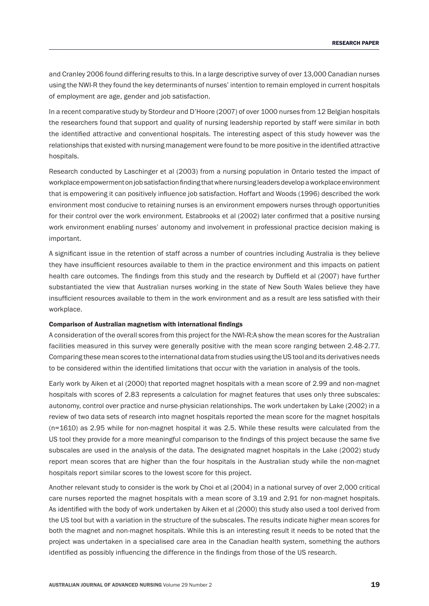and Cranley 2006 found differing results to this. In a large descriptive survey of over 13,000 Canadian nurses using the NWI‑R they found the key determinants of nurses' intention to remain employed in current hospitals of employment are age, gender and job satisfaction.

In a recent comparative study by Stordeur and D'Hoore (2007) of over 1000 nurses from 12 Belgian hospitals the researchers found that support and quality of nursing leadership reported by staff were similar in both the identified attractive and conventional hospitals. The interesting aspect of this study however was the relationships that existed with nursing management were found to be more positive in the identified attractive hospitals.

Research conducted by Laschinger et al (2003) from a nursing population in Ontario tested the impact of workplace empowerment on job satisfaction finding that where nursing leaders develop a workplace environment that is empowering it can positively influence job satisfaction. Hoffart and Woods (1996) described the work environment most conducive to retaining nurses is an environment empowers nurses through opportunities for their control over the work environment. Estabrooks et al (2002) later confirmed that a positive nursing work environment enabling nurses' autonomy and involvement in professional practice decision making is important.

A significant issue in the retention of staff across a number of countries including Australia is they believe they have insufficient resources available to them in the practice environment and this impacts on patient health care outcomes. The findings from this study and the research by Duffield et al (2007) have further substantiated the view that Australian nurses working in the state of New South Wales believe they have insufficient resources available to them in the work environment and as a result are less satisfied with their workplace.

# Comparison of Australian magnetism with international findings

A consideration of the overall scores from this project for the NWI‑R:A show the mean scores for the Australian facilities measured in this survey were generally positive with the mean score ranging between 2.48-2.77. Comparing these mean scores to the international data from studies using the US tool and its derivatives needs to be considered within the identified limitations that occur with the variation in analysis of the tools.

Early work by Aiken et al (2000) that reported magnet hospitals with a mean score of 2.99 and non‑magnet hospitals with scores of 2.83 represents a calculation for magnet features that uses only three subscales: autonomy, control over practice and nurse-physician relationships. The work undertaken by Lake (2002) in a review of two data sets of research into magnet hospitals reported the mean score for the magnet hospitals (n=1610) as 2.95 while for non‑magnet hospital it was 2.5. While these results were calculated from the US tool they provide for a more meaningful comparison to the findings of this project because the same five subscales are used in the analysis of the data. The designated magnet hospitals in the Lake (2002) study report mean scores that are higher than the four hospitals in the Australian study while the non-magnet hospitals report similar scores to the lowest score for this project.

Another relevant study to consider is the work by Choi et al (2004) in a national survey of over 2,000 critical care nurses reported the magnet hospitals with a mean score of 3.19 and 2.91 for non-magnet hospitals. As identified with the body of work undertaken by Aiken et al (2000) this study also used a tool derived from the US tool but with a variation in the structure of the subscales. The results indicate higher mean scores for both the magnet and non‑magnet hospitals. While this is an interesting result it needs to be noted that the project was undertaken in a specialised care area in the Canadian health system, something the authors identified as possibly influencing the difference in the findings from those of the US research.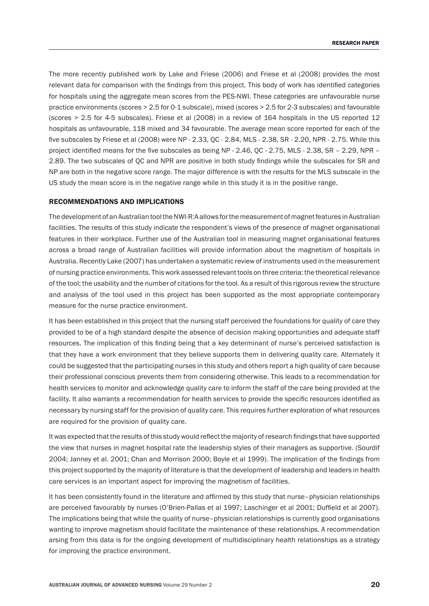The more recently published work by Lake and Friese (2006) and Friese et al (2008) provides the most relevant data for comparison with the findings from this project. This body of work has identified categories for hospitals using the aggregate mean scores from the PES‑NWI. These categories are unfavourable nurse practice environments (scores > 2.5 for 0‑1 subscale), mixed (scores > 2.5 for 2‑3 subscales) and favourable (scores > 2.5 for 4‑5 subscales). Friese et al (2008) in a review of 164 hospitals in the US reported 12 hospitals as unfavourable, 118 mixed and 34 favourable. The average mean score reported for each of the five subscales by Friese et al (2008) were NP ‑ 2.33, QC ‑ 2.84, MLS ‑ 2.38, SR ‑ 2.20, NPR ‑ 2.75. While this project identified means for the five subscales as being NP - 2.46, QC - 2.75, MLS - 2.38, SR - 2.29, NPR -2.89. The two subscales of QC and NPR are positive in both study findings while the subscales for SR and NP are both in the negative score range. The major difference is with the results for the MLS subscale in the US study the mean score is in the negative range while in this study it is in the positive range.

# Recommendations and implications

The development of an Australian tool the NWI‑R:A allows for the measurement of magnet features in Australian facilities. The results of this study indicate the respondent's views of the presence of magnet organisational features in their workplace. Further use of the Australian tool in measuring magnet organisational features across a broad range of Australian facilities will provide information about the magnetism of hospitals in Australia. Recently Lake (2007) has undertaken a systematic review of instruments used in the measurement of nursing practice environments. This work assessed relevant tools on three criteria: the theoretical relevance of the tool; the usability and the number of citations for the tool. As a result of this rigorous review the structure and analysis of the tool used in this project has been supported as the most appropriate contemporary measure for the nurse practice environment.

It has been established in this project that the nursing staff perceived the foundations for quality of care they provided to be of a high standard despite the absence of decision making opportunities and adequate staff resources. The implication of this finding being that a key determinant of nurse's perceived satisfaction is that they have a work environment that they believe supports them in delivering quality care. Alternately it could be suggested that the participating nurses in this study and others report a high quality of care because their professional conscious prevents them from considering otherwise. This leads to a recommendation for health services to monitor and acknowledge quality care to inform the staff of the care being provided at the facility. It also warrants a recommendation for health services to provide the specific resources identified as necessary by nursing staff for the provision of quality care. This requires further exploration of what resources are required for the provision of quality care.

It was expected that the results of this study would reflect the majority of research findings that have supported the view that nurses in magnet hospital rate the leadership styles of their managers as supportive. (Sourdif 2004; Janney et al. 2001; Chan and Morrison 2000; Boyle et al 1999). The implication of the findings from this project supported by the majority of literature is that the development of leadership and leaders in health care services is an important aspect for improving the magnetism of facilities.

It has been consistently found in the literature and affirmed by this study that nurse–physician relationships are perceived favourably by nurses (O'Brien-Pallas et al 1997; Laschinger et al 2001; Duffield et al 2007). The implications being that while the quality of nurse–physician relationships is currently good organisations wanting to improve magnetism should facilitate the maintenance of these relationships. A recommendation arsing from this data is for the ongoing development of multidisciplinary health relationships as a strategy for improving the practice environment.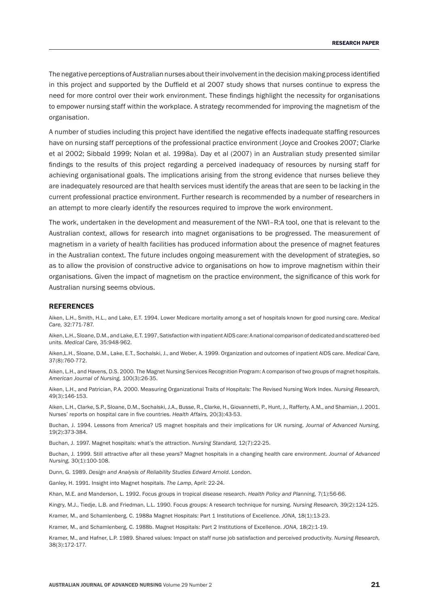The negative perceptions of Australian nurses abouttheirinvolvementin the decision making process identified in this project and supported by the Duffield et al 2007 study shows that nurses continue to express the need for more control over their work environment. These findings highlight the necessity for organisations to empower nursing staff within the workplace. A strategy recommended for improving the magnetism of the organisation.

A number of studies including this project have identified the negative effects inadequate staffing resources have on nursing staff perceptions of the professional practice environment (Joyce and Crookes 2007; Clarke et al 2002; Sibbald 1999; Nolan et al. 1998a). Day et al (2007) in an Australian study presented similar findings to the results of this project regarding a perceived inadequacy of resources by nursing staff for achieving organisational goals. The implications arising from the strong evidence that nurses believe they are inadequately resourced are that health services must identify the areas that are seen to be lacking in the current professional practice environment. Further research is recommended by a number of researchers in an attempt to more clearly identify the resources required to improve the work environment.

The work, undertaken in the development and measurement of the NWI–R:A tool, one that is relevant to the Australian context, allows for research into magnet organisations to be progressed. The measurement of magnetism in a variety of health facilities has produced information about the presence of magnet features in the Australian context. The future includes ongoing measurement with the development of strategies, so as to allow the provision of constructive advice to organisations on how to improve magnetism within their organisations. Given the impact of magnetism on the practice environment, the significance of this work for Australian nursing seems obvious.

#### REFERENCES

Aiken, L.H., Smith, H.L., and Lake, E.T. 1994. Lower Medicare mortality among a set of hospitals known for good nursing care. *Medical Care,* 32:771‑787.

Aiken, L.H., Sloane, D.M., and Lake, E.T. 1997, Satisfaction with inpatient AIDS care: A national comparison of dedicated and scattered-bed units. *Medical Care,* 35:948‑962.

Aiken,L.H., Sloane, D.M., Lake, E.T., Sochalski, J., and Weber, A. 1999. Organization and outcomes of inpatient AIDS care. *Medical Care,*  37(8):760‑772.

Aiken, L.H., and Havens, D.S. 2000. The Magnet Nursing Services Recognition Program: A comparison of two groups of magnet hospitals. *American Journal of Nursing,* 100(3):26‑35.

Aiken, L.H., and Patrician, P.A. 2000. Measuring Organizational Traits of Hospitals: The Revised Nursing Work Index. *Nursing Research,*  49(3):146‑153.

Aiken, L.H., Clarke, S.P., Sloane, D.M., Sochalski, J.A., Busse, R., Clarke, H., Giovannetti, P., Hunt, J., Rafferty, A.M., and Shamian, J. 2001. Nurses' reports on hospital care in five countries. *Health Affairs,* 20(3):43‑53.

Buchan, J. 1994. Lessons from America? US magnet hospitals and their implications for UK nursing. *Journal of Advanced Nursing,*  19(2):373‑384.

Buchan, J. 1997. Magnet hospitals: what's the attraction. *Nursing Standard,* 12(7):22‑25.

Buchan, J. 1999. Still attractive after all these years? Magnet hospitals in a changing health care environment. *Journal of Advanced Nursing,* 30(1):100‑108.

Dunn, G. 1989. *Design and Analysis of Reliability Studies Edward Arnold*. London.

Ganley, H. 1991. Insight into Magnet hospitals. *The Lamp*, April: 22‑24.

Khan, M.E. and Manderson, L. 1992. Focus groups in tropical disease research. *Health Policy and Planning,* 7(1):56‑66.

Kingry, M.J., Tiedje, L.B. and Friedman, L.L. 1990. Focus groups: A research technique for nursing. *Nursing Research,* 39(2):124‑125.

Kramer, M., and Schamlenberg, C. 1988a Magnet Hospitals: Part 1 Institutions of Excellence. *JONA,* 18(1):13‑23.

Kramer, M., and Schamlenberg, C. 1988b. Magnet Hospitals: Part 2 Institutions of Excellence. *JONA,* 18(2):1‑19.

Kramer, M., and Hafner, L.P. 1989. Shared values: Impact on staff nurse job satisfaction and perceived productivity. *Nursing Research,*  38(3):172‑177.